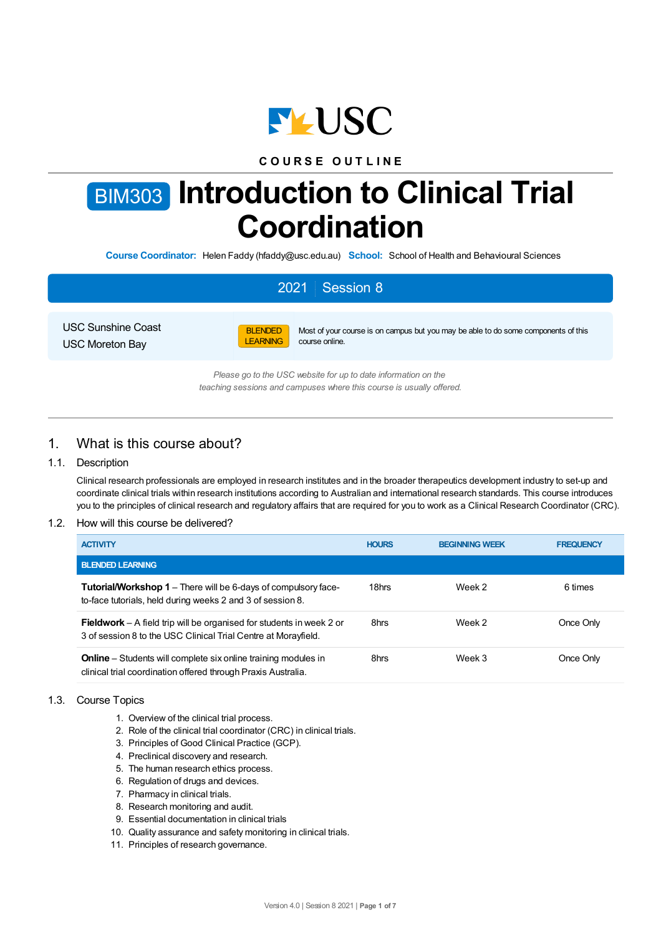

## **C O U R S E O U T L I N E**

# BIM303 **Introduction to Clinical Trial Coordination**

**Course Coordinator:** Helen Faddy (hfaddy@usc.edu.au) **School:** School of Health and Behavioural Sciences

## 2021 Session 8

USC Sunshine Coast USC Moreton Bay



Most of your course is on campus but you may be able to do some components of this course online.

*Please go to the USC website for up to date information on the teaching sessions and campuses where this course is usually offered.*

## 1. What is this course about?

#### 1.1. Description

Clinical research professionals are employed in research institutes and in the broader therapeutics development industry to set-up and coordinate clinical trials within research institutions according to Australian and international research standards. This course introduces you to the principles of clinical research and regulatory affairs that are required for you to work as a Clinical Research Coordinator (CRC).

#### 1.2. How will this course be delivered?

| <b>ACTIVITY</b>                                                                                                                               | <b>HOURS</b> | <b>BEGINNING WEEK</b> | <b>FREQUENCY</b> |
|-----------------------------------------------------------------------------------------------------------------------------------------------|--------------|-----------------------|------------------|
| <b>BLENDED LEARNING</b>                                                                                                                       |              |                       |                  |
| <b>Tutorial/Workshop 1</b> – There will be 6-days of compulsory face-<br>to-face tutorials, held during weeks 2 and 3 of session 8.           | 18hrs        | Week 2                | 6 times          |
| <b>Fieldwork</b> – A field trip will be organised for students in week 2 or<br>3 of session 8 to the USC Clinical Trial Centre at Morayfield. | 8hrs         | Week 2                | Once Only        |
| <b>Online</b> – Students will complete six online training modules in<br>clinical trial coordination offered through Praxis Australia.        | 8hrs         | Week 3                | Once Only        |

#### 1.3. Course Topics

- 1. Overview of the clinical trial process.
- 2. Role of the clinical trial coordinator (CRC) in clinical trials.
- 3. Principles of Good Clinical Practice (GCP).
- 4. Preclinical discovery and research.
- 5. The human research ethics process.
- 6. Regulation of drugs and devices.
- 7. Pharmacy in clinical trials.
- 8. Research monitoring and audit.
- 9. Essential documentation in clinical trials
- 10. Quality assurance and safety monitoring in clinical trials.
- 11. Principles of research governance.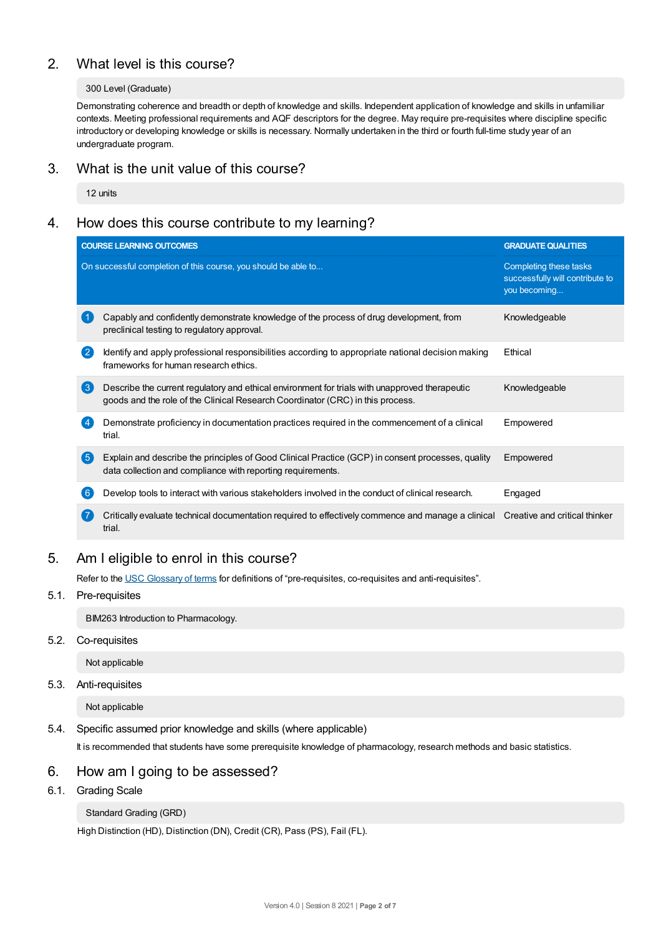## 2. What level is this course?

#### 300 Level (Graduate)

Demonstrating coherence and breadth or depth of knowledge and skills. Independent application of knowledge and skills in unfamiliar contexts. Meeting professional requirements and AQF descriptors for the degree. May require pre-requisites where discipline specific introductory or developing knowledge or skills is necessary. Normally undertaken in the third or fourth full-time study year of an undergraduate program.

## 3. What is the unit value of this course?

12 units

## 4. How does this course contribute to my learning?

|                    | <b>COURSE LEARNING OUTCOMES</b>                                                                                                                                                  | <b>GRADUATE QUALITIES</b>                                                 |
|--------------------|----------------------------------------------------------------------------------------------------------------------------------------------------------------------------------|---------------------------------------------------------------------------|
|                    | On successful completion of this course, you should be able to                                                                                                                   | Completing these tasks<br>successfully will contribute to<br>you becoming |
|                    | Capably and confidently demonstrate knowledge of the process of drug development, from<br>preclinical testing to regulatory approval.                                            | Knowledgeable                                                             |
| $\left( 2 \right)$ | Identify and apply professional responsibilities according to appropriate national decision making<br>frameworks for human research ethics.                                      | Ethical                                                                   |
| $\left(3\right)$   | Describe the current regulatory and ethical environment for trials with unapproved therapeutic<br>goods and the role of the Clinical Research Coordinator (CRC) in this process. | Knowledgeable                                                             |
|                    | Demonstrate proficiency in documentation practices required in the commencement of a clinical<br>trial.                                                                          | Empowered                                                                 |
| 6                  | Explain and describe the principles of Good Clinical Practice (GCP) in consent processes, quality<br>data collection and compliance with reporting requirements.                 | Empowered                                                                 |
| 6                  | Develop tools to interact with various stakeholders involved in the conduct of clinical research.                                                                                | Engaged                                                                   |
|                    | Critically evaluate technical documentation required to effectively commence and manage a clinical Creative and critical thinker<br>trial.                                       |                                                                           |

## 5. Am Ieligible to enrol in this course?

Refer to the USC [Glossary](https://www.usc.edu.au/about/policies-and-procedures/glossary-of-terms-for-policy-and-procedures) of terms for definitions of "pre-requisites, co-requisites and anti-requisites".

#### 5.1. Pre-requisites

BIM263 Introduction to Pharmacology.

5.2. Co-requisites

Not applicable

### 5.3. Anti-requisites

Not applicable

#### 5.4. Specific assumed prior knowledge and skills (where applicable)

It is recommended that students have some prerequisite knowledge of pharmacology, research methods and basic statistics.

## 6. How am Igoing to be assessed?

6.1. Grading Scale

#### Standard Grading (GRD)

High Distinction (HD), Distinction (DN), Credit (CR), Pass (PS), Fail (FL).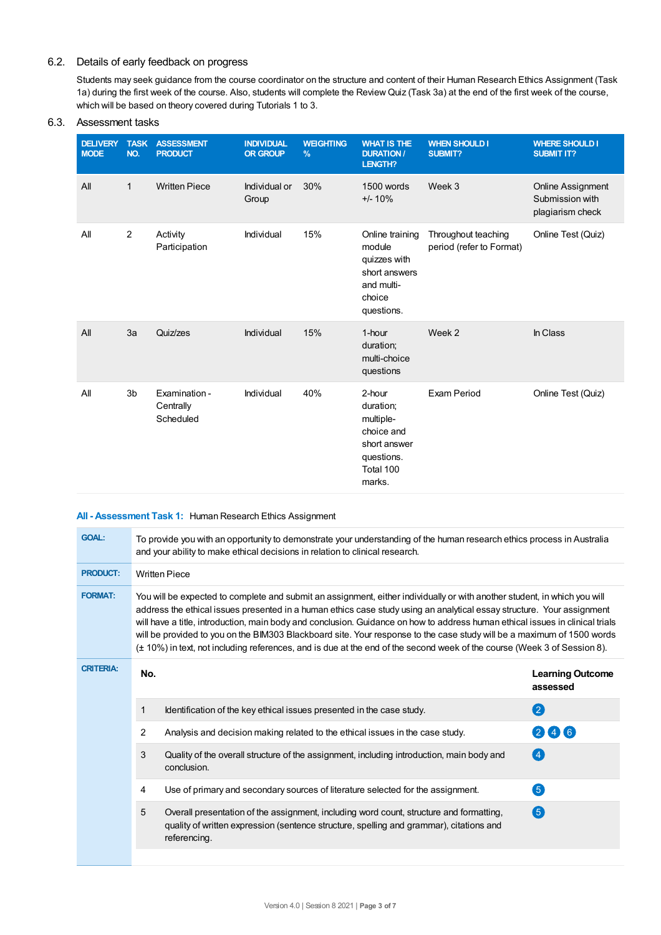#### 6.2. Details of early feedback on progress

Students may seek guidance from the course coordinator on the structure and content of their Human Research Ethics Assignment (Task 1a) during the first week of the course. Also, students will complete the Review Quiz (Task 3a) at the end of the first week of the course, which will be based on theory covered during Tutorials 1 to 3.

#### **DELIVERY TASK MODE NO. ASSESSMENT PRODUCT INDIVIDUAL ORGROUP WEIGHTING % WHAT IS THE DURATION / LENGTH? WHEN SHOULD I SUBMIT? WHERE SHOULD I SUBMIT IT?** All 1 Written Piece Individual or Group 30% 1500 words +/- 10% Week 3 Online Assignment Submission with plagiarism check All 2 Activity Participation Individual 15% Online training module quizzes with short answers and multichoice questions. Throughout teaching period (refer to Format) Online Test (Quiz) All 3a Quiz/zes **Individual** 15% 1-hour duration; multi-choice questions Week 2 In Class All 3b Examination - **Centrally** Scheduled Individual 40% 2-hour duration; multiplechoice and short answer questions. Total 100 marks. Exam Period **Online Test (Quiz)**

#### 6.3. Assessment tasks

#### **All - Assessment Task 1:** Human Research Ethics Assignment

| <b>GOAL:</b>     | To provide you with an opportunity to demonstrate your understanding of the human research ethics process in Australia<br>and your ability to make ethical decisions in relation to clinical research.                                                                                                                                                                                                                                                                                                                                                                                                                                     |                                                                                                                                                                                                    |                                     |  |
|------------------|--------------------------------------------------------------------------------------------------------------------------------------------------------------------------------------------------------------------------------------------------------------------------------------------------------------------------------------------------------------------------------------------------------------------------------------------------------------------------------------------------------------------------------------------------------------------------------------------------------------------------------------------|----------------------------------------------------------------------------------------------------------------------------------------------------------------------------------------------------|-------------------------------------|--|
| <b>PRODUCT:</b>  |                                                                                                                                                                                                                                                                                                                                                                                                                                                                                                                                                                                                                                            | <b>Written Piece</b>                                                                                                                                                                               |                                     |  |
| <b>FORMAT:</b>   | You will be expected to complete and submit an assignment, either individually or with another student, in which you will<br>address the ethical issues presented in a human ethics case study using an analytical essay structure. Your assignment<br>will have a title, introduction, main body and conclusion. Guidance on how to address human ethical issues in clinical trials<br>will be provided to you on the BIM303 Blackboard site. Your response to the case study will be a maximum of 1500 words<br>(± 10%) in text, not including references, and is due at the end of the second week of the course (Week 3 of Session 8). |                                                                                                                                                                                                    |                                     |  |
| <b>CRITERIA:</b> | No.                                                                                                                                                                                                                                                                                                                                                                                                                                                                                                                                                                                                                                        |                                                                                                                                                                                                    | <b>Learning Outcome</b><br>assessed |  |
|                  | 1                                                                                                                                                                                                                                                                                                                                                                                                                                                                                                                                                                                                                                          | Identification of the key ethical issues presented in the case study.                                                                                                                              | 2                                   |  |
|                  | 2                                                                                                                                                                                                                                                                                                                                                                                                                                                                                                                                                                                                                                          | Analysis and decision making related to the ethical issues in the case study.                                                                                                                      | 246                                 |  |
|                  | 3                                                                                                                                                                                                                                                                                                                                                                                                                                                                                                                                                                                                                                          | Quality of the overall structure of the assignment, including introduction, main body and<br>conclusion.                                                                                           | $\left( 4 \right)$                  |  |
|                  | 4                                                                                                                                                                                                                                                                                                                                                                                                                                                                                                                                                                                                                                          | Use of primary and secondary sources of literature selected for the assignment.                                                                                                                    | 6                                   |  |
|                  | 5                                                                                                                                                                                                                                                                                                                                                                                                                                                                                                                                                                                                                                          | Overall presentation of the assignment, including word count, structure and formatting,<br>quality of written expression (sentence structure, spelling and grammar), citations and<br>referencing. | 6                                   |  |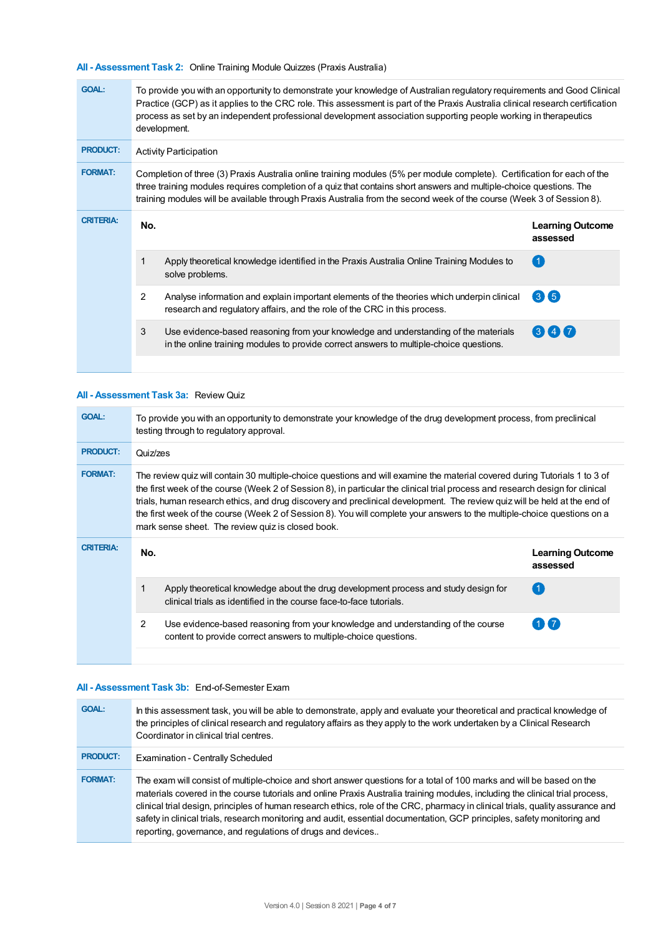**All - Assessment Task 2:** Online Training Module Quizzes (Praxis Australia)

| <b>GOAL:</b>     | To provide you with an opportunity to demonstrate your knowledge of Australian regulatory requirements and Good Clinical<br>Practice (GCP) as it applies to the CRC role. This assessment is part of the Praxis Australia clinical research certification<br>process as set by an independent professional development association supporting people working in therapeutics<br>development. |                                                                                                                                                                                                                                                                                                                                                                          |                                     |  |  |
|------------------|----------------------------------------------------------------------------------------------------------------------------------------------------------------------------------------------------------------------------------------------------------------------------------------------------------------------------------------------------------------------------------------------|--------------------------------------------------------------------------------------------------------------------------------------------------------------------------------------------------------------------------------------------------------------------------------------------------------------------------------------------------------------------------|-------------------------------------|--|--|
| <b>PRODUCT:</b>  | <b>Activity Participation</b>                                                                                                                                                                                                                                                                                                                                                                |                                                                                                                                                                                                                                                                                                                                                                          |                                     |  |  |
| <b>FORMAT:</b>   |                                                                                                                                                                                                                                                                                                                                                                                              | Completion of three (3) Praxis Australia online training modules (5% per module complete). Certification for each of the<br>three training modules requires completion of a quiz that contains short answers and multiple-choice questions. The<br>training modules will be available through Praxis Australia from the second week of the course (Week 3 of Session 8). |                                     |  |  |
| <b>CRITERIA:</b> | No.                                                                                                                                                                                                                                                                                                                                                                                          |                                                                                                                                                                                                                                                                                                                                                                          | <b>Learning Outcome</b><br>assessed |  |  |
|                  | 1                                                                                                                                                                                                                                                                                                                                                                                            | Apply theoretical knowledge identified in the Praxis Australia Online Training Modules to<br>solve problems.                                                                                                                                                                                                                                                             | $\blacktriangleleft$                |  |  |
|                  | 2                                                                                                                                                                                                                                                                                                                                                                                            | Analyse information and explain important elements of the theories which underpin clinical<br>research and regulatory affairs, and the role of the CRC in this process.                                                                                                                                                                                                  | 36                                  |  |  |
|                  | 3                                                                                                                                                                                                                                                                                                                                                                                            | Use evidence-based reasoning from your knowledge and understanding of the materials<br>in the online training modules to provide correct answers to multiple-choice questions.                                                                                                                                                                                           | (3) (4) (7)                         |  |  |
|                  |                                                                                                                                                                                                                                                                                                                                                                                              |                                                                                                                                                                                                                                                                                                                                                                          |                                     |  |  |

#### **All - Assessment Task 3a:** Review Quiz

| <b>GOAL:</b>     | To provide you with an opportunity to demonstrate your knowledge of the drug development process, from preclinical<br>testing through to regulatory approval.                                                                                                                                                                                                                                                                                                                                                                                                             |                                                                                                                                                            |                                     |  |  |
|------------------|---------------------------------------------------------------------------------------------------------------------------------------------------------------------------------------------------------------------------------------------------------------------------------------------------------------------------------------------------------------------------------------------------------------------------------------------------------------------------------------------------------------------------------------------------------------------------|------------------------------------------------------------------------------------------------------------------------------------------------------------|-------------------------------------|--|--|
| <b>PRODUCT:</b>  | Quiz/zes                                                                                                                                                                                                                                                                                                                                                                                                                                                                                                                                                                  |                                                                                                                                                            |                                     |  |  |
| <b>FORMAT:</b>   | The review quiz will contain 30 multiple-choice questions and will examine the material covered during Tutorials 1 to 3 of<br>the first week of the course (Week 2 of Session 8), in particular the clinical trial process and research design for clinical<br>trials, human research ethics, and drug discovery and preclinical development. The review quiz will be held at the end of<br>the first week of the course (Week 2 of Session 8). You will complete your answers to the multiple-choice questions on a<br>mark sense sheet. The review quiz is closed book. |                                                                                                                                                            |                                     |  |  |
| <b>CRITERIA:</b> | No.                                                                                                                                                                                                                                                                                                                                                                                                                                                                                                                                                                       |                                                                                                                                                            | <b>Learning Outcome</b><br>assessed |  |  |
|                  |                                                                                                                                                                                                                                                                                                                                                                                                                                                                                                                                                                           | Apply theoretical knowledge about the drug development process and study design for<br>clinical trials as identified in the course face-to-face tutorials. |                                     |  |  |
|                  | 2                                                                                                                                                                                                                                                                                                                                                                                                                                                                                                                                                                         | Use evidence-based reasoning from your knowledge and understanding of the course<br>content to provide correct answers to multiple-choice questions.       | $1$ $\overline{1}$ 7                |  |  |
|                  |                                                                                                                                                                                                                                                                                                                                                                                                                                                                                                                                                                           |                                                                                                                                                            |                                     |  |  |

#### **All - Assessment Task 3b:** End-of-Semester Exam

| <b>GOAL:</b>    | In this assessment task, you will be able to demonstrate, apply and evaluate your theoretical and practical knowledge of<br>the principles of clinical research and regulatory affairs as they apply to the work undertaken by a Clinical Research<br>Coordinator in clinical trial centres.                                                                                                                                                                                                                                                                                         |
|-----------------|--------------------------------------------------------------------------------------------------------------------------------------------------------------------------------------------------------------------------------------------------------------------------------------------------------------------------------------------------------------------------------------------------------------------------------------------------------------------------------------------------------------------------------------------------------------------------------------|
| <b>PRODUCT:</b> | Examination - Centrally Scheduled                                                                                                                                                                                                                                                                                                                                                                                                                                                                                                                                                    |
| <b>FORMAT:</b>  | The exam will consist of multiple-choice and short answer questions for a total of 100 marks and will be based on the<br>materials covered in the course tutorials and online Praxis Australia training modules, including the clinical trial process,<br>clinical trial design, principles of human research ethics, role of the CRC, pharmacy in clinical trials, quality assurance and<br>safety in clinical trials, research monitoring and audit, essential documentation, GCP principles, safety monitoring and<br>reporting, governance, and regulations of drugs and devices |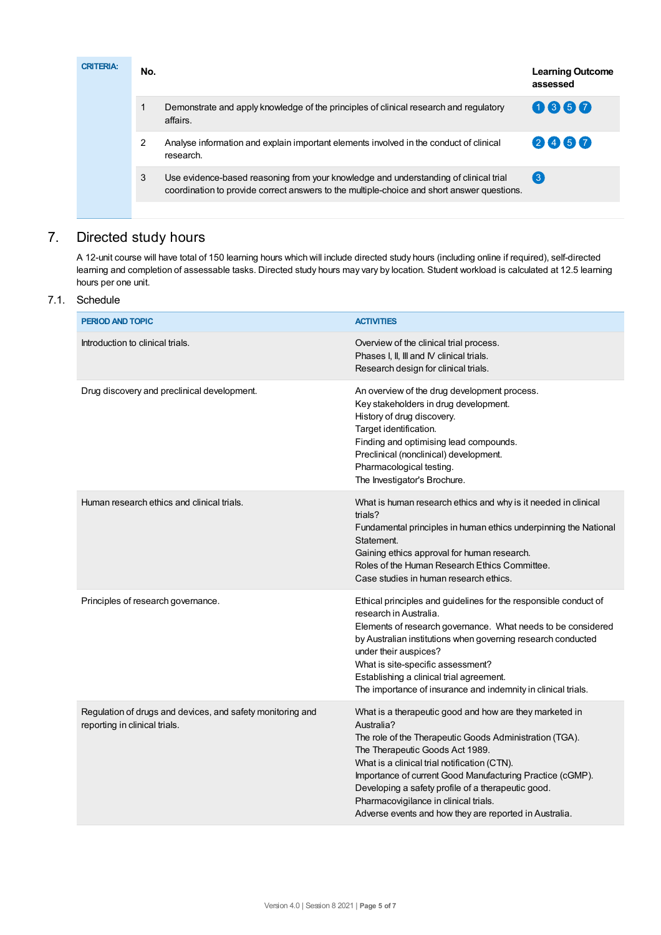| <b>CRITERIA:</b> | No. |                                                                                                                                                                                    | <b>Learning Outcome</b><br>assessed |
|------------------|-----|------------------------------------------------------------------------------------------------------------------------------------------------------------------------------------|-------------------------------------|
|                  |     | Demonstrate and apply knowledge of the principles of clinical research and regulatory<br>affairs.                                                                                  | 0860                                |
|                  | 2   | Analyse information and explain important elements involved in the conduct of clinical<br>research.                                                                                | 2460                                |
|                  | 3   | Use evidence-based reasoning from your knowledge and understanding of clinical trial<br>coordination to provide correct answers to the multiple-choice and short answer questions. | $\left(3\right)$                    |
|                  |     |                                                                                                                                                                                    |                                     |

## 7. Directed study hours

A 12-unit course will have total of 150 learning hours which will include directed study hours (including online if required), self-directed learning and completion of assessable tasks. Directed study hours may vary by location. Student workload is calculated at 12.5 learning hours per one unit.

## 7.1. Schedule

| PERIOD AND TOPIC                                                                            | <b>ACTIVITIES</b>                                                                                                                                                                                                                                                                                                                                                                                                                         |
|---------------------------------------------------------------------------------------------|-------------------------------------------------------------------------------------------------------------------------------------------------------------------------------------------------------------------------------------------------------------------------------------------------------------------------------------------------------------------------------------------------------------------------------------------|
| Introduction to clinical trials.                                                            | Overview of the clinical trial process.<br>Phases I, II, III and IV clinical trials.<br>Research design for clinical trials.                                                                                                                                                                                                                                                                                                              |
| Drug discovery and preclinical development.                                                 | An overview of the drug development process.<br>Key stakeholders in drug development.<br>History of drug discovery.<br>Target identification.<br>Finding and optimising lead compounds.<br>Preclinical (nonclinical) development.<br>Pharmacological testing.<br>The Investigator's Brochure.                                                                                                                                             |
| Human research ethics and clinical trials.                                                  | What is human research ethics and why is it needed in clinical<br>trials?<br>Fundamental principles in human ethics underpinning the National<br>Statement.<br>Gaining ethics approval for human research.<br>Roles of the Human Research Ethics Committee.<br>Case studies in human research ethics.                                                                                                                                     |
| Principles of research governance.                                                          | Ethical principles and guidelines for the responsible conduct of<br>research in Australia.<br>Elements of research governance. What needs to be considered<br>by Australian institutions when governing research conducted<br>under their auspices?<br>What is site-specific assessment?<br>Establishing a clinical trial agreement.<br>The importance of insurance and indemnity in clinical trials.                                     |
| Regulation of drugs and devices, and safety monitoring and<br>reporting in clinical trials. | What is a therapeutic good and how are they marketed in<br>Australia?<br>The role of the Therapeutic Goods Administration (TGA).<br>The Therapeutic Goods Act 1989.<br>What is a clinical trial notification (CTN).<br>Importance of current Good Manufacturing Practice (cGMP).<br>Developing a safety profile of a therapeutic good.<br>Pharmacovigilance in clinical trials.<br>Adverse events and how they are reported in Australia. |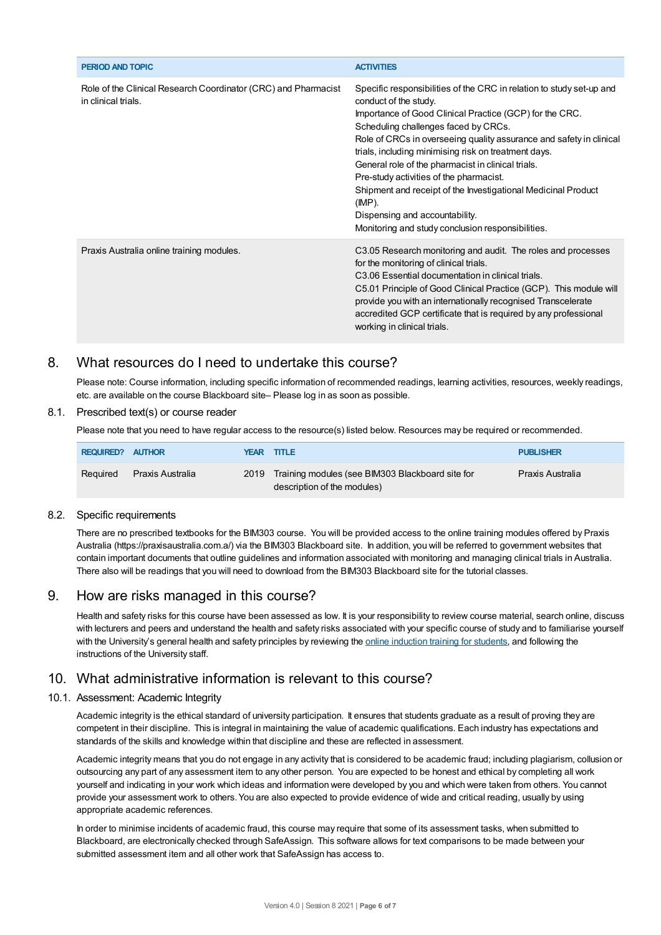| <b>PERIOD AND TOPIC</b>                                                               | <b>ACTIVITIES</b>                                                                                                                                                                                                                                                                                                                                                                                                                                                                                                                                                                                     |
|---------------------------------------------------------------------------------------|-------------------------------------------------------------------------------------------------------------------------------------------------------------------------------------------------------------------------------------------------------------------------------------------------------------------------------------------------------------------------------------------------------------------------------------------------------------------------------------------------------------------------------------------------------------------------------------------------------|
| Role of the Clinical Research Coordinator (CRC) and Pharmacist<br>in clinical trials. | Specific responsibilities of the CRC in relation to study set-up and<br>conduct of the study.<br>Importance of Good Clinical Practice (GCP) for the CRC.<br>Scheduling challenges faced by CRCs.<br>Role of CRCs in overseeing quality assurance and safety in clinical<br>trials, including minimising risk on treatment days.<br>General role of the pharmacist in clinical trials.<br>Pre-study activities of the pharmacist.<br>Shipment and receipt of the Investigational Medicinal Product<br>$(IMP)$ .<br>Dispensing and accountability.<br>Monitoring and study conclusion responsibilities. |
| Praxis Australia online training modules.                                             | C3.05 Research monitoring and audit. The roles and processes<br>for the monitoring of clinical trials.<br>C3.06 Essential documentation in clinical trials.<br>C5.01 Principle of Good Clinical Practice (GCP). This module will<br>provide you with an internationally recognised Transcelerate<br>accredited GCP certificate that is required by any professional<br>working in clinical trials.                                                                                                                                                                                                    |

## 8. What resources do I need to undertake this course?

Please note: Course information, including specific information of recommended readings, learning activities, resources, weekly readings, etc. are available on the course Blackboard site– Please log in as soon as possible.

#### 8.1. Prescribed text(s) or course reader

Please note that you need to have regular access to the resource(s) listed below. Resources may be required or recommended.

| <b>REQUIRED? AUTHOR</b> |                  | YEAR TITLE                                                                           | <b>PUBLISHER</b> |
|-------------------------|------------------|--------------------------------------------------------------------------------------|------------------|
| Reguired                | Praxis Australia | 2019 Training modules (see BIM303 Blackboard site for<br>description of the modules) | Praxis Australia |

#### 8.2. Specific requirements

There are no prescribed textbooks for the BIM303 course. You will be provided access to the online training modules offered by Praxis Australia (https://praxisaustralia.com.a/) via the BIM303 Blackboard site. In addition, you will be referred to government websites that contain important documents that outline guidelines and information associated with monitoring and managing clinical trials in Australia. There also will be readings that you will need to download from the BIM303 Blackboard site for the tutorial classes.

## 9. How are risks managed in this course?

Health and safety risks for this course have been assessed as low. It is your responsibility to review course material, search online, discuss with lecturers and peers and understand the health and safety risks associated with your specific course of study and to familiarise yourself with the University's general health and safety principles by reviewing the online [induction](https://online.usc.edu.au/webapps/blackboard/content/listContentEditable.jsp?content_id=_632657_1&course_id=_14432_1) training for students, and following the instructions of the University staff.

## 10. What administrative information is relevant to this course?

#### 10.1. Assessment: Academic Integrity

Academic integrity is the ethical standard of university participation. It ensures that students graduate as a result of proving they are competent in their discipline. This is integral in maintaining the value of academic qualifications. Each industry has expectations and standards of the skills and knowledge within that discipline and these are reflected in assessment.

Academic integrity means that you do not engage in any activity that is considered to be academic fraud; including plagiarism, collusion or outsourcing any part of any assessment item to any other person. You are expected to be honest and ethical by completing all work yourself and indicating in your work which ideas and information were developed by you and which were taken from others. You cannot provide your assessment work to others.You are also expected to provide evidence of wide and critical reading, usually by using appropriate academic references.

In order to minimise incidents of academic fraud, this course may require that some of its assessment tasks, when submitted to Blackboard, are electronically checked through SafeAssign. This software allows for text comparisons to be made between your submitted assessment item and all other work that SafeAssign has access to.